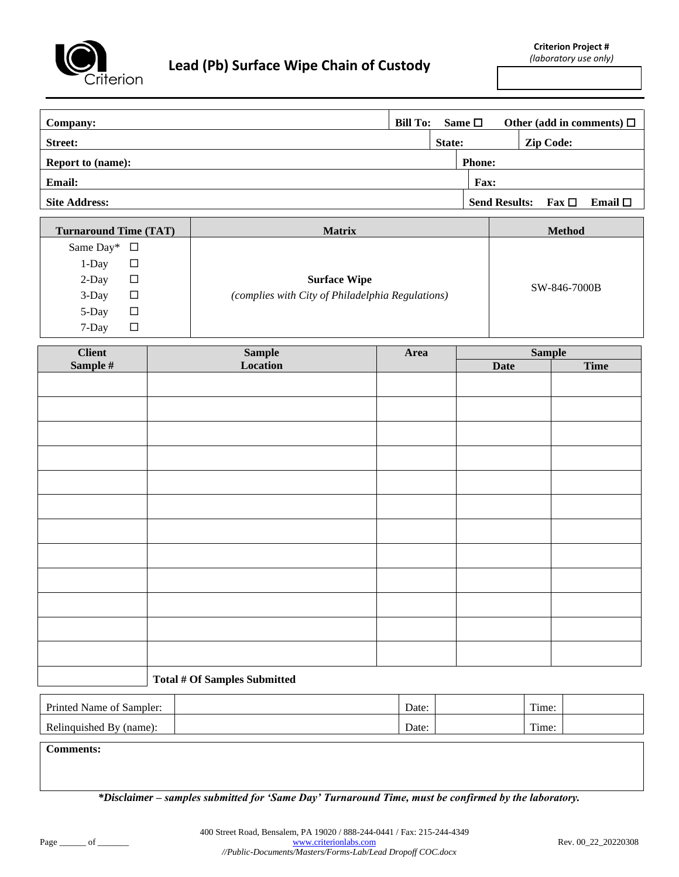

**Company: Bill To:** Same □ Other (add in comments) □ **Street: State: Zip Code: Report to (name): Phone: Phone: Phone: Phone: Phone: Phone: Phone: Phone: Phone: Phone: Phone: Phone: Phone: Phone: Phone: Phone: Phone: Phone: Phone: Phone: Phone: Phone: Pho Email: Fax:** Site Address: **Fax** □ **Email** □

| <b>Turnaround Time (TAT)</b> | <b>Matrix</b>                                    | <b>Method</b> |
|------------------------------|--------------------------------------------------|---------------|
| Same Day* $\Box$             |                                                  |               |
| 1-Day<br>⊔                   |                                                  |               |
| 2-Day<br>□                   | <b>Surface Wipe</b>                              |               |
| 3-Day<br>□                   | (complies with City of Philadelphia Regulations) | SW-846-7000B  |
| 5-Day<br>□                   |                                                  |               |
| 7-Day<br>□                   |                                                  |               |

|                    | Sample<br>Location | Area | <b>Sample</b> |             |
|--------------------|--------------------|------|---------------|-------------|
| Client<br>Sample # |                    |      | <b>Date</b>   | <b>Time</b> |
|                    |                    |      |               |             |
|                    |                    |      |               |             |
|                    |                    |      |               |             |
|                    |                    |      |               |             |
|                    |                    |      |               |             |
|                    |                    |      |               |             |
|                    |                    |      |               |             |
|                    |                    |      |               |             |
|                    |                    |      |               |             |
|                    |                    |      |               |             |
|                    |                    |      |               |             |
|                    |                    |      |               |             |
|                    |                    |      |               |             |
|                    |                    |      |               |             |
|                    |                    |      |               |             |
|                    |                    |      |               |             |
|                    |                    |      |               |             |
|                    |                    |      |               |             |
|                    |                    |      |               |             |
|                    |                    |      |               |             |
|                    |                    |      |               |             |
|                    |                    |      |               |             |
|                    |                    |      |               |             |
|                    |                    |      |               |             |

## **Total # Of Samples Submitted**

| Printed<br>l Name of<br>Sampler: | Date: | m.<br>l'ime: |  |
|----------------------------------|-------|--------------|--|
| Relinguished By (name):          | Date: | Time:        |  |

**Comments:**

*\*Disclaimer – samples submitted for 'Same Day' Turnaround Time, must be confirmed by the laboratory.*